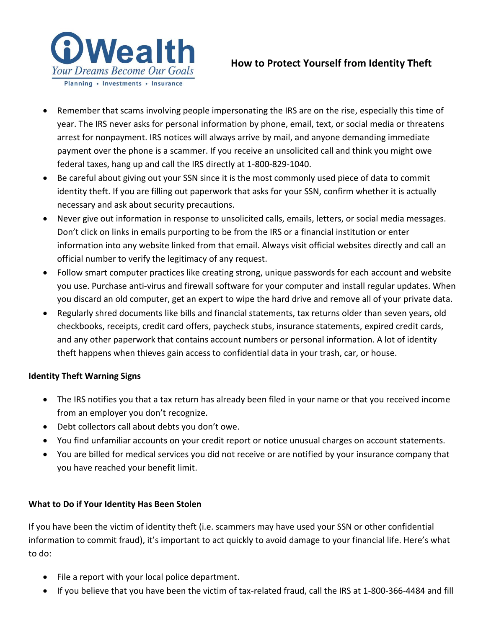

# **How to Protect Yourself from Identity Theft**

- Remember that scams involving people impersonating the IRS are on the rise, especially this time of year. The IRS never asks for personal information by phone, email, text, or social media or threatens arrest for nonpayment. IRS notices will always arrive by mail, and anyone demanding immediate payment over the phone is a scammer. If you receive an unsolicited call and think you might owe federal taxes, hang up and call the IRS directly at 1-800-829-1040.
- Be careful about giving out your SSN since it is the most commonly used piece of data to commit identity theft. If you are filling out paperwork that asks for your SSN, confirm whether it is actually necessary and ask about security precautions.
- Never give out information in response to unsolicited calls, emails, letters, or social media messages. Don't click on links in emails purporting to be from the IRS or a financial institution or enter information into any website linked from that email. Always visit official websites directly and call an official number to verify the legitimacy of any request.
- Follow smart computer practices like creating strong, unique passwords for each account and website you use. Purchase anti-virus and firewall software for your computer and install regular updates. When you discard an old computer, get an expert to wipe the hard drive and remove all of your private data.
- Regularly shred documents like bills and financial statements, tax returns older than seven years, old checkbooks, receipts, credit card offers, paycheck stubs, insurance statements, expired credit cards, and any other paperwork that contains account numbers or personal information. A lot of identity theft happens when thieves gain access to confidential data in your trash, car, or house.

## **Identity Theft Warning Signs**

- The IRS notifies you that a tax return has already been filed in your name or that you received income from an employer you don't recognize.
- Debt collectors call about debts you don't owe.
- You find unfamiliar accounts on your credit report or notice unusual charges on account statements.
- You are billed for medical services you did not receive or are notified by your insurance company that you have reached your benefit limit.

## **What to Do if Your Identity Has Been Stolen**

If you have been the victim of identity theft (i.e. scammers may have used your SSN or other confidential information to commit fraud), it's important to act quickly to avoid damage to your financial life. Here's what to do:

- File a report with your local police department.
- If you believe that you have been the victim of tax-related fraud, call the IRS at 1-800-366-4484 and fill